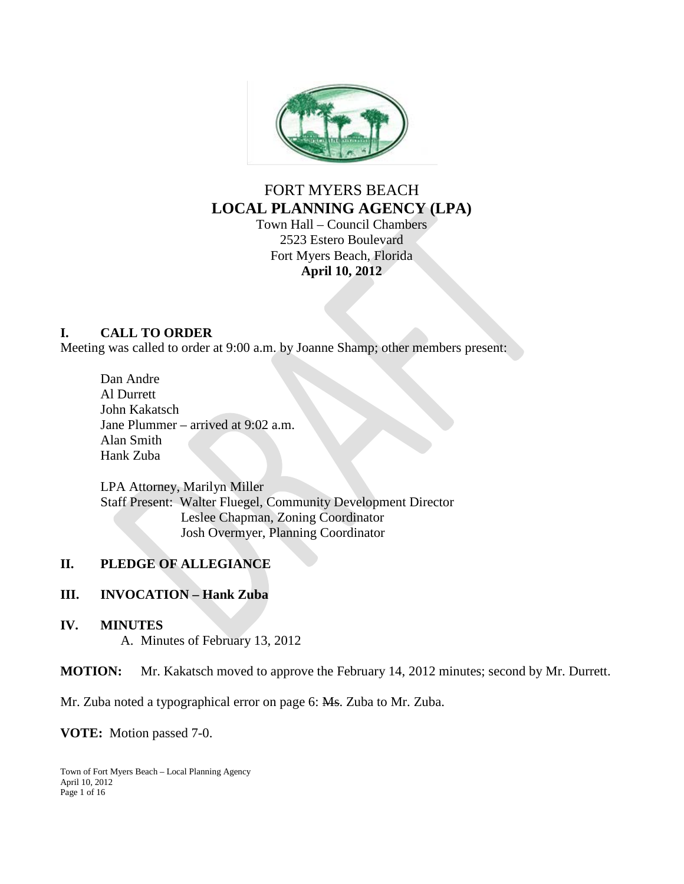

# FORT MYERS BEACH **LOCAL PLANNING AGENCY (LPA)**

Town Hall – Council Chambers 2523 Estero Boulevard Fort Myers Beach, Florida **April 10, 2012**

### **I. CALL TO ORDER**

Meeting was called to order at 9:00 a.m. by Joanne Shamp; other members present:

Dan Andre Al Durrett John Kakatsch Jane Plummer – arrived at 9:02 a.m. Alan Smith Hank Zuba

LPA Attorney, Marilyn Miller Staff Present: Walter Fluegel, Community Development Director Leslee Chapman, Zoning Coordinator Josh Overmyer, Planning Coordinator

#### **II. PLEDGE OF ALLEGIANCE**

#### **III. INVOCATION – Hank Zuba**

#### **IV. MINUTES**

A. Minutes of February 13, 2012

**MOTION:** Mr. Kakatsch moved to approve the February 14, 2012 minutes; second by Mr. Durrett.

Mr. Zuba noted a typographical error on page 6: Ms. Zuba to Mr. Zuba.

**VOTE:** Motion passed 7-0.

Town of Fort Myers Beach – Local Planning Agency April 10, 2012 Page 1 of 16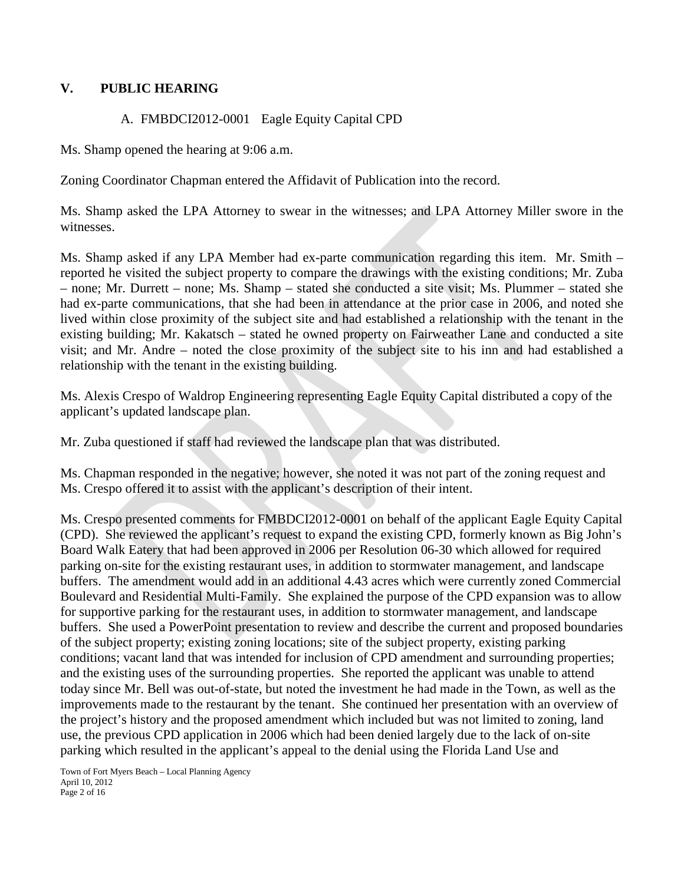#### **V. PUBLIC HEARING**

#### A. FMBDCI2012-0001 Eagle Equity Capital CPD

Ms. Shamp opened the hearing at 9:06 a.m.

Zoning Coordinator Chapman entered the Affidavit of Publication into the record.

Ms. Shamp asked the LPA Attorney to swear in the witnesses; and LPA Attorney Miller swore in the witnesses.

Ms. Shamp asked if any LPA Member had ex-parte communication regarding this item. Mr. Smith – reported he visited the subject property to compare the drawings with the existing conditions; Mr. Zuba – none; Mr. Durrett – none; Ms. Shamp – stated she conducted a site visit; Ms. Plummer – stated she had ex-parte communications, that she had been in attendance at the prior case in 2006, and noted she lived within close proximity of the subject site and had established a relationship with the tenant in the existing building; Mr. Kakatsch – stated he owned property on Fairweather Lane and conducted a site visit; and Mr. Andre – noted the close proximity of the subject site to his inn and had established a relationship with the tenant in the existing building.

Ms. Alexis Crespo of Waldrop Engineering representing Eagle Equity Capital distributed a copy of the applicant's updated landscape plan.

Mr. Zuba questioned if staff had reviewed the landscape plan that was distributed.

Ms. Chapman responded in the negative; however, she noted it was not part of the zoning request and Ms. Crespo offered it to assist with the applicant's description of their intent.

Ms. Crespo presented comments for FMBDCI2012-0001 on behalf of the applicant Eagle Equity Capital (CPD). She reviewed the applicant's request to expand the existing CPD, formerly known as Big John's Board Walk Eatery that had been approved in 2006 per Resolution 06-30 which allowed for required parking on-site for the existing restaurant uses, in addition to stormwater management, and landscape buffers. The amendment would add in an additional 4.43 acres which were currently zoned Commercial Boulevard and Residential Multi-Family. She explained the purpose of the CPD expansion was to allow for supportive parking for the restaurant uses, in addition to stormwater management, and landscape buffers. She used a PowerPoint presentation to review and describe the current and proposed boundaries of the subject property; existing zoning locations; site of the subject property, existing parking conditions; vacant land that was intended for inclusion of CPD amendment and surrounding properties; and the existing uses of the surrounding properties. She reported the applicant was unable to attend today since Mr. Bell was out-of-state, but noted the investment he had made in the Town, as well as the improvements made to the restaurant by the tenant. She continued her presentation with an overview of the project's history and the proposed amendment which included but was not limited to zoning, land use, the previous CPD application in 2006 which had been denied largely due to the lack of on-site parking which resulted in the applicant's appeal to the denial using the Florida Land Use and

Town of Fort Myers Beach – Local Planning Agency April 10, 2012 Page 2 of 16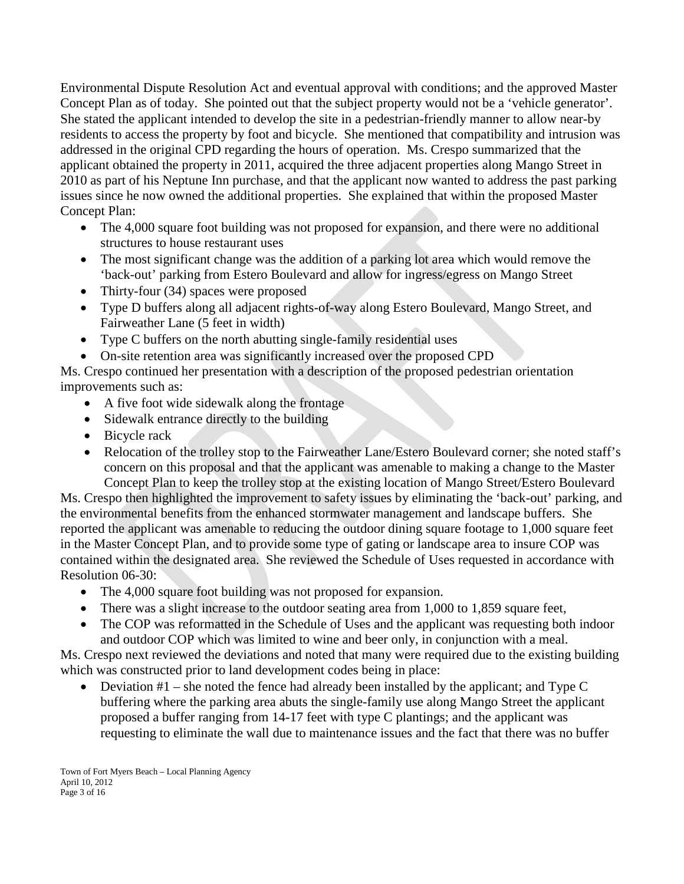Environmental Dispute Resolution Act and eventual approval with conditions; and the approved Master Concept Plan as of today. She pointed out that the subject property would not be a 'vehicle generator'. She stated the applicant intended to develop the site in a pedestrian-friendly manner to allow near-by residents to access the property by foot and bicycle. She mentioned that compatibility and intrusion was addressed in the original CPD regarding the hours of operation. Ms. Crespo summarized that the applicant obtained the property in 2011, acquired the three adjacent properties along Mango Street in 2010 as part of his Neptune Inn purchase, and that the applicant now wanted to address the past parking issues since he now owned the additional properties. She explained that within the proposed Master Concept Plan:

- The 4,000 square foot building was not proposed for expansion, and there were no additional structures to house restaurant uses
- The most significant change was the addition of a parking lot area which would remove the 'back-out' parking from Estero Boulevard and allow for ingress/egress on Mango Street
- Thirty-four (34) spaces were proposed
- Type D buffers along all adjacent rights-of-way along Estero Boulevard, Mango Street, and Fairweather Lane (5 feet in width)
- Type C buffers on the north abutting single-family residential uses
- On-site retention area was significantly increased over the proposed CPD

Ms. Crespo continued her presentation with a description of the proposed pedestrian orientation improvements such as:

- A five foot wide sidewalk along the frontage
- Sidewalk entrance directly to the building
- Bicycle rack
- Relocation of the trolley stop to the Fairweather Lane/Estero Boulevard corner; she noted staff's concern on this proposal and that the applicant was amenable to making a change to the Master Concept Plan to keep the trolley stop at the existing location of Mango Street/Estero Boulevard

Ms. Crespo then highlighted the improvement to safety issues by eliminating the 'back-out' parking, and the environmental benefits from the enhanced stormwater management and landscape buffers. She reported the applicant was amenable to reducing the outdoor dining square footage to 1,000 square feet in the Master Concept Plan, and to provide some type of gating or landscape area to insure COP was contained within the designated area. She reviewed the Schedule of Uses requested in accordance with Resolution 06-30:

- The 4,000 square foot building was not proposed for expansion.
- There was a slight increase to the outdoor seating area from 1,000 to 1,859 square feet,
- The COP was reformatted in the Schedule of Uses and the applicant was requesting both indoor and outdoor COP which was limited to wine and beer only, in conjunction with a meal.

Ms. Crespo next reviewed the deviations and noted that many were required due to the existing building which was constructed prior to land development codes being in place:

• Deviation  $#1$  – she noted the fence had already been installed by the applicant; and Type C buffering where the parking area abuts the single-family use along Mango Street the applicant proposed a buffer ranging from 14-17 feet with type C plantings; and the applicant was requesting to eliminate the wall due to maintenance issues and the fact that there was no buffer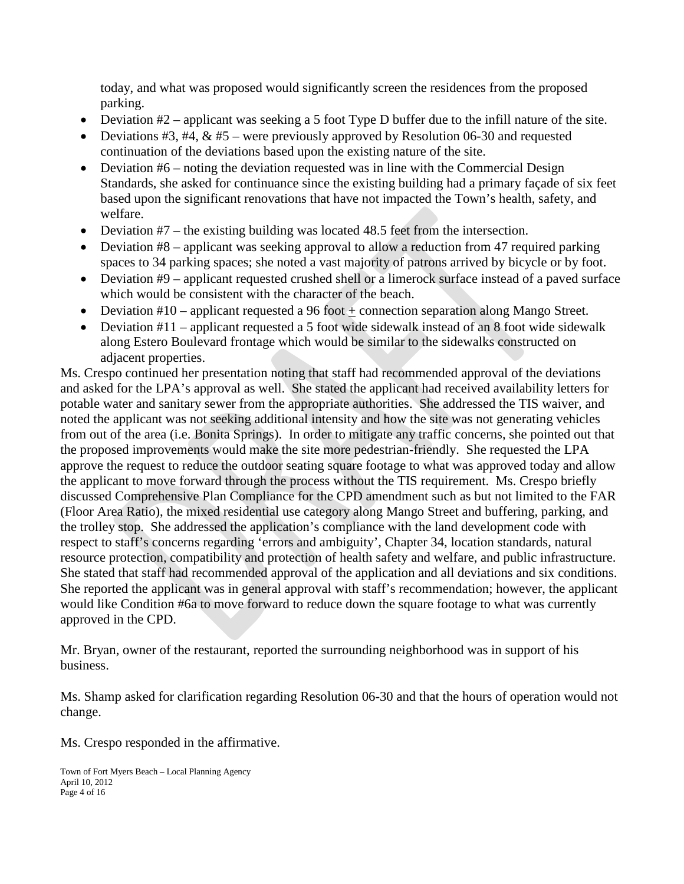today, and what was proposed would significantly screen the residences from the proposed parking.

- Deviation  $#2$  applicant was seeking a 5 foot Type D buffer due to the infill nature of the site.
- Deviations #3, #4,  $\&$  #5 were previously approved by Resolution 06-30 and requested continuation of the deviations based upon the existing nature of the site.
- Deviation  $#6$  noting the deviation requested was in line with the Commercial Design Standards, she asked for continuance since the existing building had a primary façade of six feet based upon the significant renovations that have not impacted the Town's health, safety, and welfare.
- Deviation #7 the existing building was located 48.5 feet from the intersection.
- Deviation #8 applicant was seeking approval to allow a reduction from 47 required parking spaces to 34 parking spaces; she noted a vast majority of patrons arrived by bicycle or by foot.
- Deviation #9 applicant requested crushed shell or a limerock surface instead of a paved surface which would be consistent with the character of the beach.
- Deviation #10 applicant requested a 96 foot + connection separation along Mango Street.
- Deviation #11 applicant requested a 5 foot wide sidewalk instead of an 8 foot wide sidewalk along Estero Boulevard frontage which would be similar to the sidewalks constructed on adjacent properties.

Ms. Crespo continued her presentation noting that staff had recommended approval of the deviations and asked for the LPA's approval as well. She stated the applicant had received availability letters for potable water and sanitary sewer from the appropriate authorities. She addressed the TIS waiver, and noted the applicant was not seeking additional intensity and how the site was not generating vehicles from out of the area (i.e. Bonita Springs). In order to mitigate any traffic concerns, she pointed out that the proposed improvements would make the site more pedestrian-friendly. She requested the LPA approve the request to reduce the outdoor seating square footage to what was approved today and allow the applicant to move forward through the process without the TIS requirement. Ms. Crespo briefly discussed Comprehensive Plan Compliance for the CPD amendment such as but not limited to the FAR (Floor Area Ratio), the mixed residential use category along Mango Street and buffering, parking, and the trolley stop. She addressed the application's compliance with the land development code with respect to staff's concerns regarding 'errors and ambiguity', Chapter 34, location standards, natural resource protection, compatibility and protection of health safety and welfare, and public infrastructure. She stated that staff had recommended approval of the application and all deviations and six conditions. She reported the applicant was in general approval with staff's recommendation; however, the applicant would like Condition #6a to move forward to reduce down the square footage to what was currently approved in the CPD.

Mr. Bryan, owner of the restaurant, reported the surrounding neighborhood was in support of his business.

Ms. Shamp asked for clarification regarding Resolution 06-30 and that the hours of operation would not change.

Ms. Crespo responded in the affirmative.

Town of Fort Myers Beach – Local Planning Agency April 10, 2012 Page 4 of 16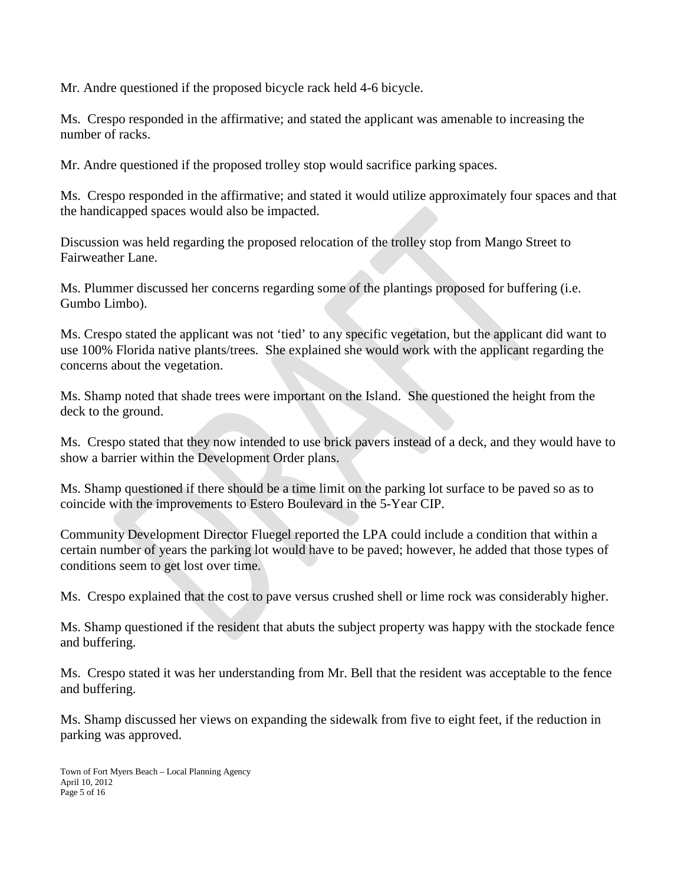Mr. Andre questioned if the proposed bicycle rack held 4-6 bicycle.

Ms. Crespo responded in the affirmative; and stated the applicant was amenable to increasing the number of racks.

Mr. Andre questioned if the proposed trolley stop would sacrifice parking spaces.

Ms. Crespo responded in the affirmative; and stated it would utilize approximately four spaces and that the handicapped spaces would also be impacted.

Discussion was held regarding the proposed relocation of the trolley stop from Mango Street to Fairweather Lane.

Ms. Plummer discussed her concerns regarding some of the plantings proposed for buffering (i.e. Gumbo Limbo).

Ms. Crespo stated the applicant was not 'tied' to any specific vegetation, but the applicant did want to use 100% Florida native plants/trees. She explained she would work with the applicant regarding the concerns about the vegetation.

Ms. Shamp noted that shade trees were important on the Island. She questioned the height from the deck to the ground.

Ms. Crespo stated that they now intended to use brick pavers instead of a deck, and they would have to show a barrier within the Development Order plans.

Ms. Shamp questioned if there should be a time limit on the parking lot surface to be paved so as to coincide with the improvements to Estero Boulevard in the 5-Year CIP.

Community Development Director Fluegel reported the LPA could include a condition that within a certain number of years the parking lot would have to be paved; however, he added that those types of conditions seem to get lost over time.

Ms. Crespo explained that the cost to pave versus crushed shell or lime rock was considerably higher.

Ms. Shamp questioned if the resident that abuts the subject property was happy with the stockade fence and buffering.

Ms. Crespo stated it was her understanding from Mr. Bell that the resident was acceptable to the fence and buffering.

Ms. Shamp discussed her views on expanding the sidewalk from five to eight feet, if the reduction in parking was approved.

Town of Fort Myers Beach – Local Planning Agency April 10, 2012 Page 5 of 16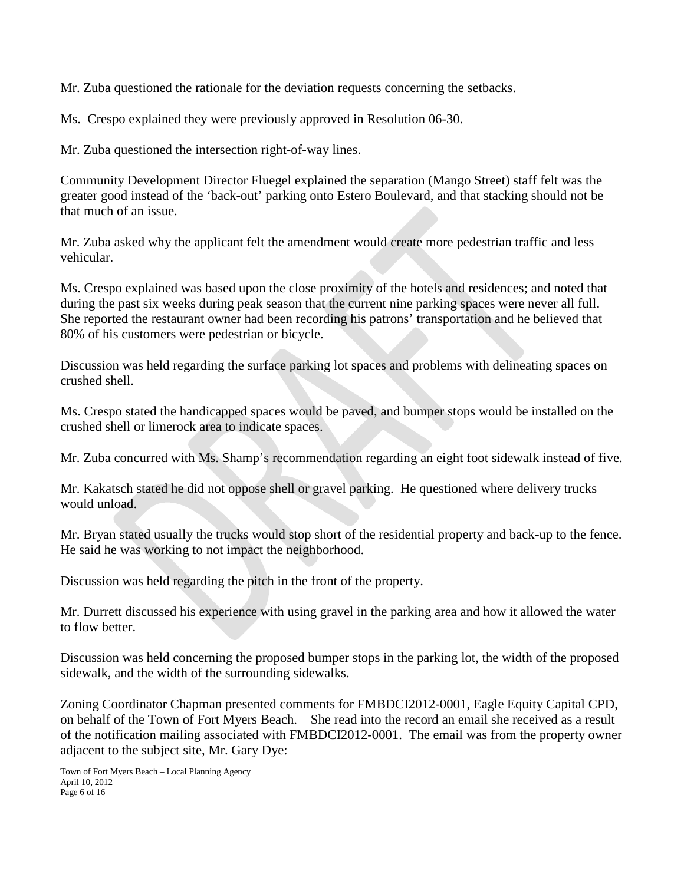Mr. Zuba questioned the rationale for the deviation requests concerning the setbacks.

Ms. Crespo explained they were previously approved in Resolution 06-30.

Mr. Zuba questioned the intersection right-of-way lines.

Community Development Director Fluegel explained the separation (Mango Street) staff felt was the greater good instead of the 'back-out' parking onto Estero Boulevard, and that stacking should not be that much of an issue.

Mr. Zuba asked why the applicant felt the amendment would create more pedestrian traffic and less vehicular.

Ms. Crespo explained was based upon the close proximity of the hotels and residences; and noted that during the past six weeks during peak season that the current nine parking spaces were never all full. She reported the restaurant owner had been recording his patrons' transportation and he believed that 80% of his customers were pedestrian or bicycle.

Discussion was held regarding the surface parking lot spaces and problems with delineating spaces on crushed shell.

Ms. Crespo stated the handicapped spaces would be paved, and bumper stops would be installed on the crushed shell or limerock area to indicate spaces.

Mr. Zuba concurred with Ms. Shamp's recommendation regarding an eight foot sidewalk instead of five.

Mr. Kakatsch stated he did not oppose shell or gravel parking. He questioned where delivery trucks would unload.

Mr. Bryan stated usually the trucks would stop short of the residential property and back-up to the fence. He said he was working to not impact the neighborhood.

Discussion was held regarding the pitch in the front of the property.

Mr. Durrett discussed his experience with using gravel in the parking area and how it allowed the water to flow better.

Discussion was held concerning the proposed bumper stops in the parking lot, the width of the proposed sidewalk, and the width of the surrounding sidewalks.

Zoning Coordinator Chapman presented comments for FMBDCI2012-0001, Eagle Equity Capital CPD, on behalf of the Town of Fort Myers Beach. She read into the record an email she received as a result of the notification mailing associated with FMBDCI2012-0001. The email was from the property owner adjacent to the subject site, Mr. Gary Dye: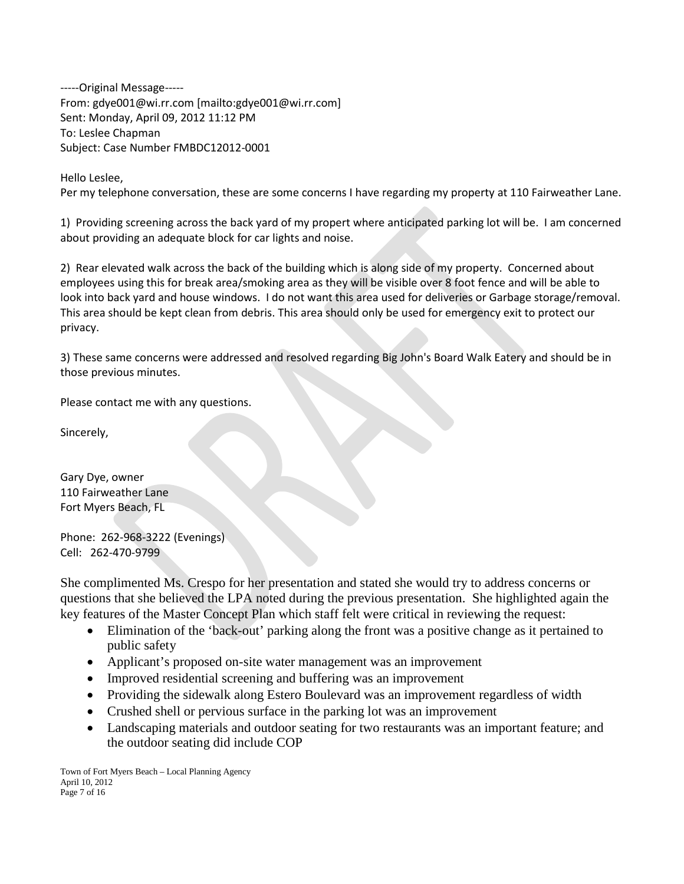-----Original Message----- From: gdye001@wi.rr.com [mailto:gdye001@wi.rr.com] Sent: Monday, April 09, 2012 11:12 PM To: Leslee Chapman Subject: Case Number FMBDC12012-0001

Hello Leslee,

Per my telephone conversation, these are some concerns I have regarding my property at 110 Fairweather Lane.

1) Providing screening across the back yard of my propert where anticipated parking lot will be. I am concerned about providing an adequate block for car lights and noise.

2) Rear elevated walk across the back of the building which is along side of my property. Concerned about employees using this for break area/smoking area as they will be visible over 8 foot fence and will be able to look into back yard and house windows. I do not want this area used for deliveries or Garbage storage/removal. This area should be kept clean from debris. This area should only be used for emergency exit to protect our privacy.

3) These same concerns were addressed and resolved regarding Big John's Board Walk Eatery and should be in those previous minutes.

Please contact me with any questions.

Sincerely,

Gary Dye, owner 110 Fairweather Lane Fort Myers Beach, FL

Phone: 262-968-3222 (Evenings) Cell: 262-470-9799

She complimented Ms. Crespo for her presentation and stated she would try to address concerns or questions that she believed the LPA noted during the previous presentation. She highlighted again the key features of the Master Concept Plan which staff felt were critical in reviewing the request:

- Elimination of the 'back-out' parking along the front was a positive change as it pertained to public safety
- Applicant's proposed on-site water management was an improvement
- Improved residential screening and buffering was an improvement
- Providing the sidewalk along Estero Boulevard was an improvement regardless of width
- Crushed shell or pervious surface in the parking lot was an improvement
- Landscaping materials and outdoor seating for two restaurants was an important feature; and the outdoor seating did include COP

Town of Fort Myers Beach – Local Planning Agency April 10, 2012 Page 7 of 16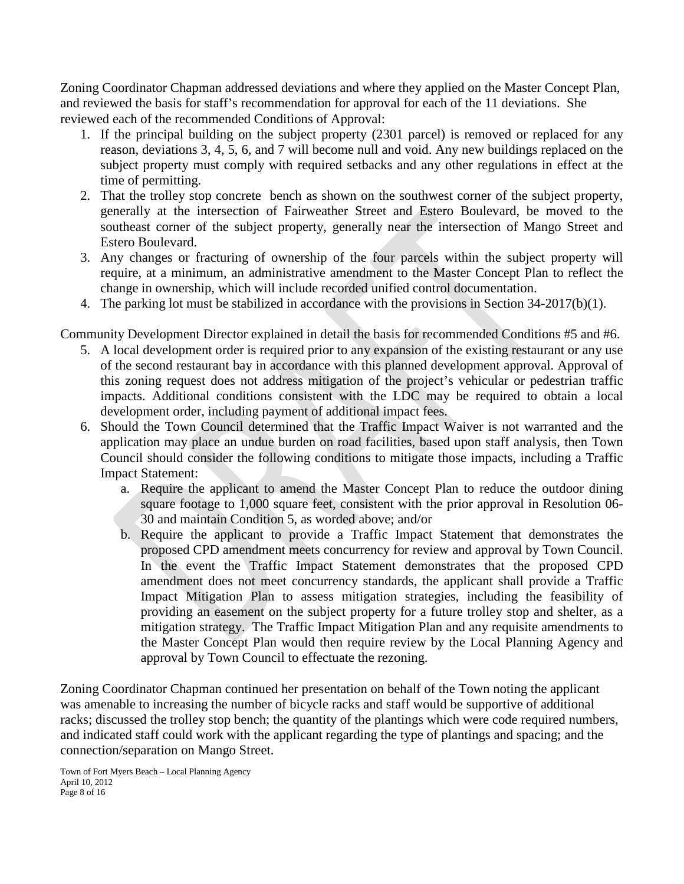Zoning Coordinator Chapman addressed deviations and where they applied on the Master Concept Plan, and reviewed the basis for staff's recommendation for approval for each of the 11 deviations. She reviewed each of the recommended Conditions of Approval:

- 1. If the principal building on the subject property (2301 parcel) is removed or replaced for any reason, deviations 3, 4, 5, 6, and 7 will become null and void. Any new buildings replaced on the subject property must comply with required setbacks and any other regulations in effect at the time of permitting.
- 2. That the trolley stop concrete bench as shown on the southwest corner of the subject property, generally at the intersection of Fairweather Street and Estero Boulevard, be moved to the southeast corner of the subject property, generally near the intersection of Mango Street and Estero Boulevard.
- 3. Any changes or fracturing of ownership of the four parcels within the subject property will require, at a minimum, an administrative amendment to the Master Concept Plan to reflect the change in ownership, which will include recorded unified control documentation.
- 4. The parking lot must be stabilized in accordance with the provisions in Section 34-2017(b)(1).

Community Development Director explained in detail the basis for recommended Conditions #5 and #6.

- 5. A local development order is required prior to any expansion of the existing restaurant or any use of the second restaurant bay in accordance with this planned development approval. Approval of this zoning request does not address mitigation of the project's vehicular or pedestrian traffic impacts. Additional conditions consistent with the LDC may be required to obtain a local development order, including payment of additional impact fees.
- 6. Should the Town Council determined that the Traffic Impact Waiver is not warranted and the application may place an undue burden on road facilities, based upon staff analysis, then Town Council should consider the following conditions to mitigate those impacts, including a Traffic Impact Statement:
	- a. Require the applicant to amend the Master Concept Plan to reduce the outdoor dining square footage to 1,000 square feet, consistent with the prior approval in Resolution 06- 30 and maintain Condition 5, as worded above; and/or
	- b. Require the applicant to provide a Traffic Impact Statement that demonstrates the proposed CPD amendment meets concurrency for review and approval by Town Council. In the event the Traffic Impact Statement demonstrates that the proposed CPD amendment does not meet concurrency standards, the applicant shall provide a Traffic Impact Mitigation Plan to assess mitigation strategies, including the feasibility of providing an easement on the subject property for a future trolley stop and shelter, as a mitigation strategy. The Traffic Impact Mitigation Plan and any requisite amendments to the Master Concept Plan would then require review by the Local Planning Agency and approval by Town Council to effectuate the rezoning.

Zoning Coordinator Chapman continued her presentation on behalf of the Town noting the applicant was amenable to increasing the number of bicycle racks and staff would be supportive of additional racks; discussed the trolley stop bench; the quantity of the plantings which were code required numbers, and indicated staff could work with the applicant regarding the type of plantings and spacing; and the connection/separation on Mango Street.

Town of Fort Myers Beach – Local Planning Agency April 10, 2012 Page 8 of 16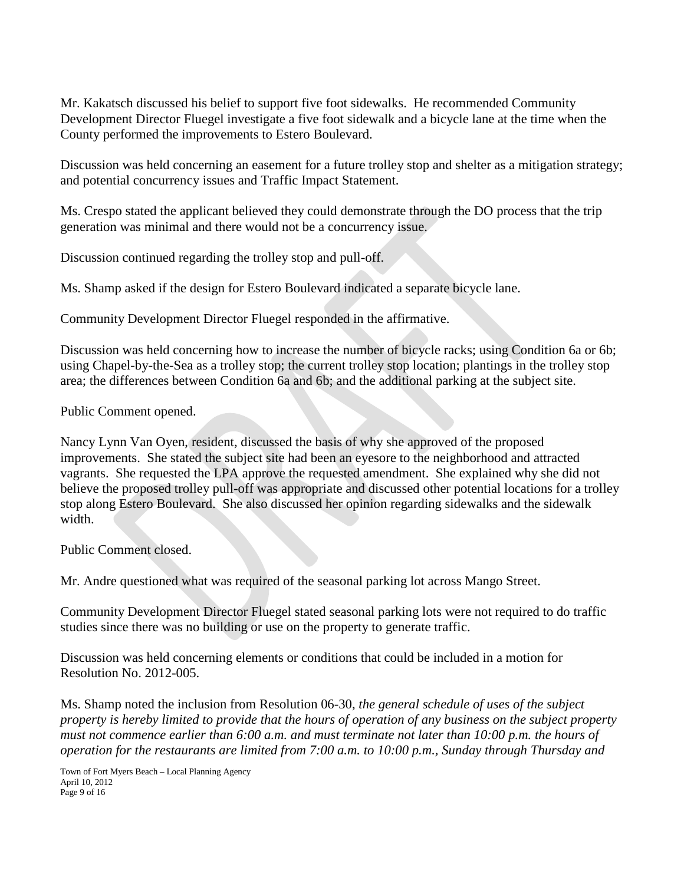Mr. Kakatsch discussed his belief to support five foot sidewalks. He recommended Community Development Director Fluegel investigate a five foot sidewalk and a bicycle lane at the time when the County performed the improvements to Estero Boulevard.

Discussion was held concerning an easement for a future trolley stop and shelter as a mitigation strategy; and potential concurrency issues and Traffic Impact Statement.

Ms. Crespo stated the applicant believed they could demonstrate through the DO process that the trip generation was minimal and there would not be a concurrency issue.

Discussion continued regarding the trolley stop and pull-off.

Ms. Shamp asked if the design for Estero Boulevard indicated a separate bicycle lane.

Community Development Director Fluegel responded in the affirmative.

Discussion was held concerning how to increase the number of bicycle racks; using Condition 6a or 6b; using Chapel-by-the-Sea as a trolley stop; the current trolley stop location; plantings in the trolley stop area; the differences between Condition 6a and 6b; and the additional parking at the subject site.

Public Comment opened.

Nancy Lynn Van Oyen, resident, discussed the basis of why she approved of the proposed improvements. She stated the subject site had been an eyesore to the neighborhood and attracted vagrants. She requested the LPA approve the requested amendment. She explained why she did not believe the proposed trolley pull-off was appropriate and discussed other potential locations for a trolley stop along Estero Boulevard. She also discussed her opinion regarding sidewalks and the sidewalk width.

Public Comment closed.

Mr. Andre questioned what was required of the seasonal parking lot across Mango Street.

Community Development Director Fluegel stated seasonal parking lots were not required to do traffic studies since there was no building or use on the property to generate traffic.

Discussion was held concerning elements or conditions that could be included in a motion for Resolution No. 2012-005.

Ms. Shamp noted the inclusion from Resolution 06-30, *the general schedule of uses of the subject property is hereby limited to provide that the hours of operation of any business on the subject property must not commence earlier than 6:00 a.m. and must terminate not later than 10:00 p.m. the hours of operation for the restaurants are limited from 7:00 a.m. to 10:00 p.m., Sunday through Thursday and* 

Town of Fort Myers Beach – Local Planning Agency April 10, 2012 Page 9 of 16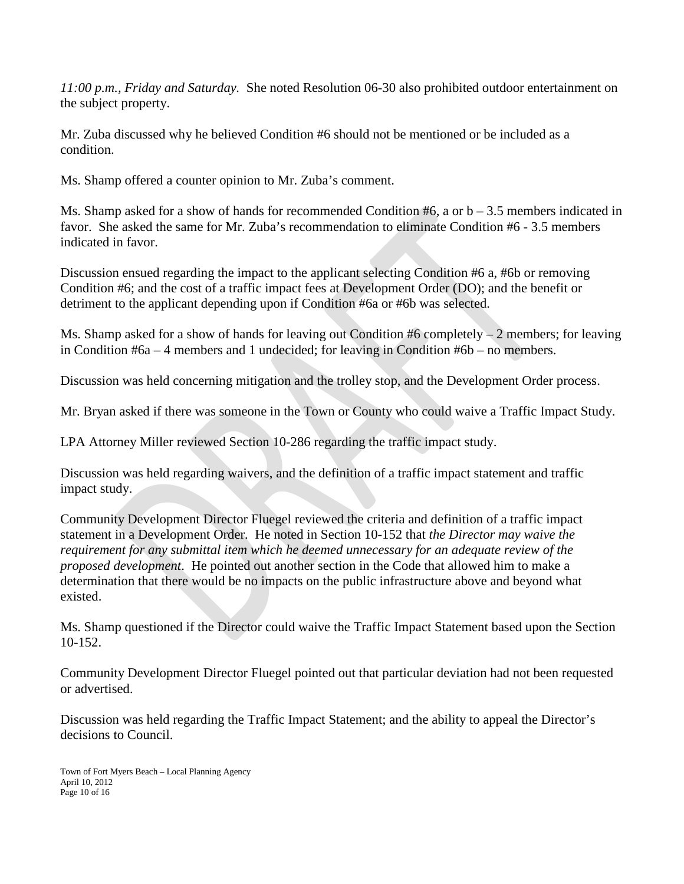*11:00 p.m., Friday and Saturday.* She noted Resolution 06-30 also prohibited outdoor entertainment on the subject property.

Mr. Zuba discussed why he believed Condition #6 should not be mentioned or be included as a condition.

Ms. Shamp offered a counter opinion to Mr. Zuba's comment.

Ms. Shamp asked for a show of hands for recommended Condition  $#6$ , a or  $b - 3.5$  members indicated in favor. She asked the same for Mr. Zuba's recommendation to eliminate Condition #6 - 3.5 members indicated in favor.

Discussion ensued regarding the impact to the applicant selecting Condition #6 a, #6b or removing Condition #6; and the cost of a traffic impact fees at Development Order (DO); and the benefit or detriment to the applicant depending upon if Condition #6a or #6b was selected.

Ms. Shamp asked for a show of hands for leaving out Condition  $#6$  completely – 2 members; for leaving in Condition #6a – 4 members and 1 undecided; for leaving in Condition #6b – no members.

Discussion was held concerning mitigation and the trolley stop, and the Development Order process.

Mr. Bryan asked if there was someone in the Town or County who could waive a Traffic Impact Study.

LPA Attorney Miller reviewed Section 10-286 regarding the traffic impact study.

Discussion was held regarding waivers, and the definition of a traffic impact statement and traffic impact study.

Community Development Director Fluegel reviewed the criteria and definition of a traffic impact statement in a Development Order. He noted in Section 10-152 that *the Director may waive the requirement for any submittal item which he deemed unnecessary for an adequate review of the proposed development*. He pointed out another section in the Code that allowed him to make a determination that there would be no impacts on the public infrastructure above and beyond what existed.

Ms. Shamp questioned if the Director could waive the Traffic Impact Statement based upon the Section 10-152.

Community Development Director Fluegel pointed out that particular deviation had not been requested or advertised.

Discussion was held regarding the Traffic Impact Statement; and the ability to appeal the Director's decisions to Council.

Town of Fort Myers Beach – Local Planning Agency April 10, 2012 Page 10 of 16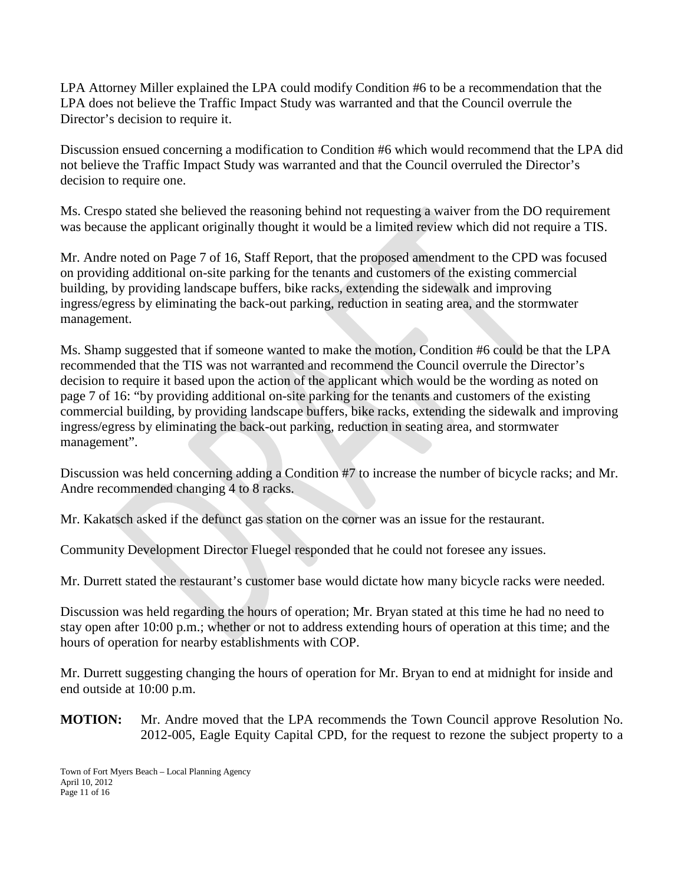LPA Attorney Miller explained the LPA could modify Condition #6 to be a recommendation that the LPA does not believe the Traffic Impact Study was warranted and that the Council overrule the Director's decision to require it.

Discussion ensued concerning a modification to Condition #6 which would recommend that the LPA did not believe the Traffic Impact Study was warranted and that the Council overruled the Director's decision to require one.

Ms. Crespo stated she believed the reasoning behind not requesting a waiver from the DO requirement was because the applicant originally thought it would be a limited review which did not require a TIS.

Mr. Andre noted on Page 7 of 16, Staff Report, that the proposed amendment to the CPD was focused on providing additional on-site parking for the tenants and customers of the existing commercial building, by providing landscape buffers, bike racks, extending the sidewalk and improving ingress/egress by eliminating the back-out parking, reduction in seating area, and the stormwater management.

Ms. Shamp suggested that if someone wanted to make the motion, Condition #6 could be that the LPA recommended that the TIS was not warranted and recommend the Council overrule the Director's decision to require it based upon the action of the applicant which would be the wording as noted on page 7 of 16: "by providing additional on-site parking for the tenants and customers of the existing commercial building, by providing landscape buffers, bike racks, extending the sidewalk and improving ingress/egress by eliminating the back-out parking, reduction in seating area, and stormwater management".

Discussion was held concerning adding a Condition #7 to increase the number of bicycle racks; and Mr. Andre recommended changing 4 to 8 racks.

Mr. Kakatsch asked if the defunct gas station on the corner was an issue for the restaurant.

Community Development Director Fluegel responded that he could not foresee any issues.

Mr. Durrett stated the restaurant's customer base would dictate how many bicycle racks were needed.

Discussion was held regarding the hours of operation; Mr. Bryan stated at this time he had no need to stay open after 10:00 p.m.; whether or not to address extending hours of operation at this time; and the hours of operation for nearby establishments with COP.

Mr. Durrett suggesting changing the hours of operation for Mr. Bryan to end at midnight for inside and end outside at 10:00 p.m.

**MOTION:** Mr. Andre moved that the LPA recommends the Town Council approve Resolution No. 2012-005, Eagle Equity Capital CPD, for the request to rezone the subject property to a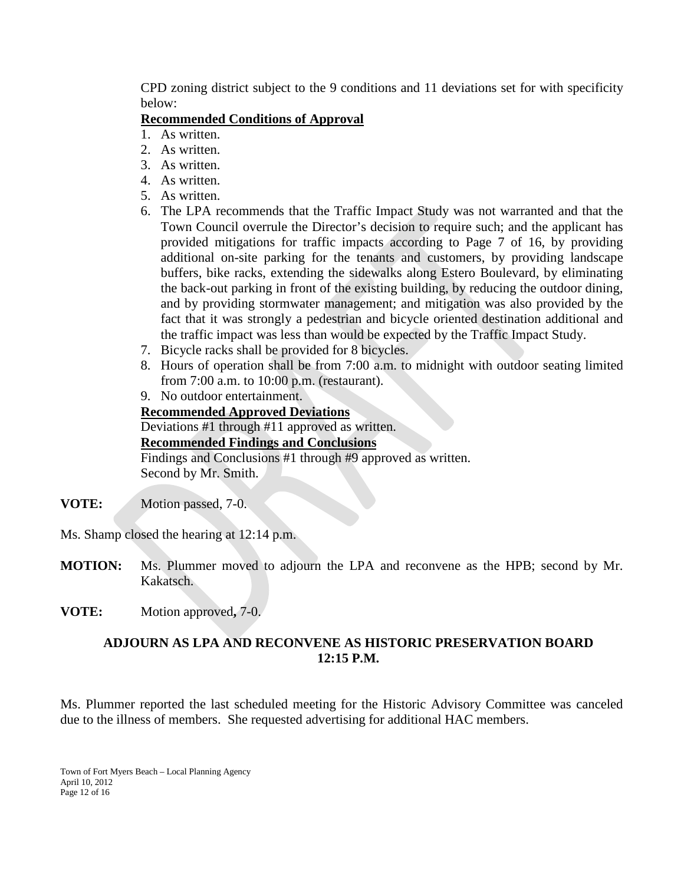CPD zoning district subject to the 9 conditions and 11 deviations set for with specificity below:

#### **Recommended Conditions of Approval**

- 1. As written.
- 2. As written.
- 3. As written.
- 4. As written.
- 5. As written.
- 6. The LPA recommends that the Traffic Impact Study was not warranted and that the Town Council overrule the Director's decision to require such; and the applicant has provided mitigations for traffic impacts according to Page 7 of 16, by providing additional on-site parking for the tenants and customers, by providing landscape buffers, bike racks, extending the sidewalks along Estero Boulevard, by eliminating the back-out parking in front of the existing building, by reducing the outdoor dining, and by providing stormwater management; and mitigation was also provided by the fact that it was strongly a pedestrian and bicycle oriented destination additional and the traffic impact was less than would be expected by the Traffic Impact Study.
- 7. Bicycle racks shall be provided for 8 bicycles.
- 8. Hours of operation shall be from 7:00 a.m. to midnight with outdoor seating limited from 7:00 a.m. to 10:00 p.m. (restaurant).
- 9. No outdoor entertainment.

### **Recommended Approved Deviations**

Deviations #1 through #11 approved as written. **Recommended Findings and Conclusions** Findings and Conclusions #1 through #9 approved as written. Second by Mr. Smith.

**VOTE:** Motion passed, 7-0.

Ms. Shamp closed the hearing at 12:14 p.m.

- **MOTION:** Ms. Plummer moved to adjourn the LPA and reconvene as the HPB; second by Mr. Kakatsch.
- **VOTE:** Motion approved**,** 7-0.

### **ADJOURN AS LPA AND RECONVENE AS HISTORIC PRESERVATION BOARD 12:15 P.M.**

Ms. Plummer reported the last scheduled meeting for the Historic Advisory Committee was canceled due to the illness of members. She requested advertising for additional HAC members.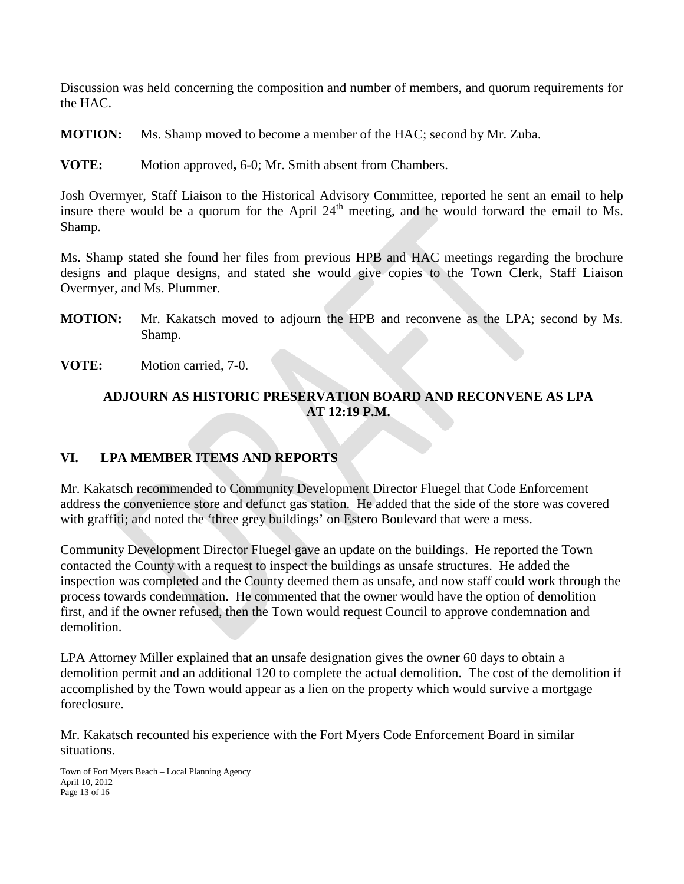Discussion was held concerning the composition and number of members, and quorum requirements for the HAC.

**MOTION:** Ms. Shamp moved to become a member of the HAC; second by Mr. Zuba.

**VOTE:** Motion approved**,** 6-0; Mr. Smith absent from Chambers.

Josh Overmyer, Staff Liaison to the Historical Advisory Committee, reported he sent an email to help insure there would be a quorum for the April  $24<sup>th</sup>$  meeting, and he would forward the email to Ms. Shamp.

Ms. Shamp stated she found her files from previous HPB and HAC meetings regarding the brochure designs and plaque designs, and stated she would give copies to the Town Clerk, Staff Liaison Overmyer, and Ms. Plummer.

- **MOTION:** Mr. Kakatsch moved to adjourn the HPB and reconvene as the LPA; second by Ms. Shamp.
- **VOTE:** Motion carried, 7-0.

## **ADJOURN AS HISTORIC PRESERVATION BOARD AND RECONVENE AS LPA AT 12:19 P.M.**

# **VI. LPA MEMBER ITEMS AND REPORTS**

Mr. Kakatsch recommended to Community Development Director Fluegel that Code Enforcement address the convenience store and defunct gas station. He added that the side of the store was covered with graffiti; and noted the 'three grey buildings' on Estero Boulevard that were a mess.

Community Development Director Fluegel gave an update on the buildings. He reported the Town contacted the County with a request to inspect the buildings as unsafe structures. He added the inspection was completed and the County deemed them as unsafe, and now staff could work through the process towards condemnation. He commented that the owner would have the option of demolition first, and if the owner refused, then the Town would request Council to approve condemnation and demolition.

LPA Attorney Miller explained that an unsafe designation gives the owner 60 days to obtain a demolition permit and an additional 120 to complete the actual demolition. The cost of the demolition if accomplished by the Town would appear as a lien on the property which would survive a mortgage foreclosure.

Mr. Kakatsch recounted his experience with the Fort Myers Code Enforcement Board in similar situations.

Town of Fort Myers Beach – Local Planning Agency April 10, 2012 Page 13 of 16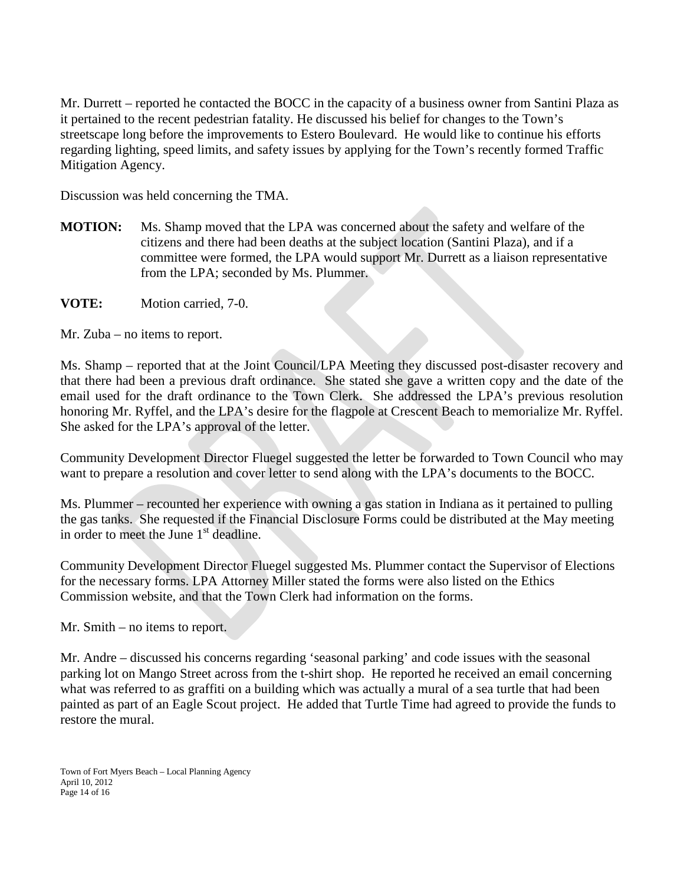Mr. Durrett – reported he contacted the BOCC in the capacity of a business owner from Santini Plaza as it pertained to the recent pedestrian fatality. He discussed his belief for changes to the Town's streetscape long before the improvements to Estero Boulevard. He would like to continue his efforts regarding lighting, speed limits, and safety issues by applying for the Town's recently formed Traffic Mitigation Agency.

Discussion was held concerning the TMA.

- **MOTION:** Ms. Shamp moved that the LPA was concerned about the safety and welfare of the citizens and there had been deaths at the subject location (Santini Plaza), and if a committee were formed, the LPA would support Mr. Durrett as a liaison representative from the LPA; seconded by Ms. Plummer.
- **VOTE:** Motion carried, 7-0.

Mr. Zuba – no items to report.

Ms. Shamp – reported that at the Joint Council/LPA Meeting they discussed post-disaster recovery and that there had been a previous draft ordinance. She stated she gave a written copy and the date of the email used for the draft ordinance to the Town Clerk. She addressed the LPA's previous resolution honoring Mr. Ryffel, and the LPA's desire for the flagpole at Crescent Beach to memorialize Mr. Ryffel. She asked for the LPA's approval of the letter.

Community Development Director Fluegel suggested the letter be forwarded to Town Council who may want to prepare a resolution and cover letter to send along with the LPA's documents to the BOCC.

Ms. Plummer – recounted her experience with owning a gas station in Indiana as it pertained to pulling the gas tanks. She requested if the Financial Disclosure Forms could be distributed at the May meeting in order to meet the June  $1<sup>st</sup>$  deadline.

Community Development Director Fluegel suggested Ms. Plummer contact the Supervisor of Elections for the necessary forms. LPA Attorney Miller stated the forms were also listed on the Ethics Commission website, and that the Town Clerk had information on the forms.

Mr. Smith – no items to report.

Mr. Andre – discussed his concerns regarding 'seasonal parking' and code issues with the seasonal parking lot on Mango Street across from the t-shirt shop. He reported he received an email concerning what was referred to as graffiti on a building which was actually a mural of a sea turtle that had been painted as part of an Eagle Scout project. He added that Turtle Time had agreed to provide the funds to restore the mural.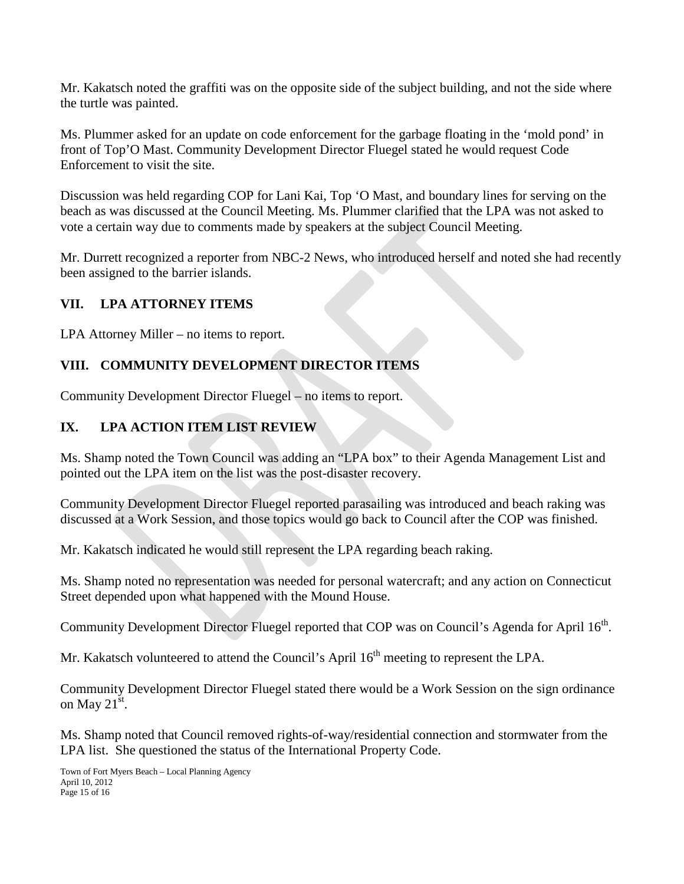Mr. Kakatsch noted the graffiti was on the opposite side of the subject building, and not the side where the turtle was painted.

Ms. Plummer asked for an update on code enforcement for the garbage floating in the 'mold pond' in front of Top'O Mast. Community Development Director Fluegel stated he would request Code Enforcement to visit the site.

Discussion was held regarding COP for Lani Kai, Top 'O Mast, and boundary lines for serving on the beach as was discussed at the Council Meeting. Ms. Plummer clarified that the LPA was not asked to vote a certain way due to comments made by speakers at the subject Council Meeting.

Mr. Durrett recognized a reporter from NBC-2 News, who introduced herself and noted she had recently been assigned to the barrier islands.

# **VII. LPA ATTORNEY ITEMS**

LPA Attorney Miller – no items to report.

# **VIII. COMMUNITY DEVELOPMENT DIRECTOR ITEMS**

Community Development Director Fluegel – no items to report.

### **IX. LPA ACTION ITEM LIST REVIEW**

Ms. Shamp noted the Town Council was adding an "LPA box" to their Agenda Management List and pointed out the LPA item on the list was the post-disaster recovery.

Community Development Director Fluegel reported parasailing was introduced and beach raking was discussed at a Work Session, and those topics would go back to Council after the COP was finished.

Mr. Kakatsch indicated he would still represent the LPA regarding beach raking.

Ms. Shamp noted no representation was needed for personal watercraft; and any action on Connecticut Street depended upon what happened with the Mound House.

Community Development Director Fluegel reported that COP was on Council's Agenda for April 16<sup>th</sup>.

Mr. Kakatsch volunteered to attend the Council's April  $16<sup>th</sup>$  meeting to represent the LPA.

Community Development Director Fluegel stated there would be a Work Session on the sign ordinance on May  $21^{st}$ .

Ms. Shamp noted that Council removed rights-of-way/residential connection and stormwater from the LPA list. She questioned the status of the International Property Code.